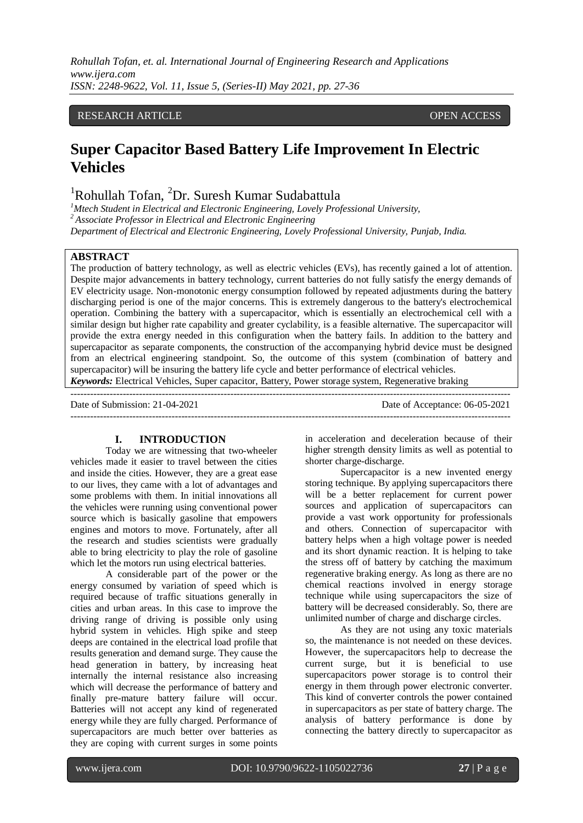#### RESEARCH ARTICLE **CONSERVERS** OPEN ACCESS

# **Super Capacitor Based Battery Life Improvement In Electric Vehicles**

## <sup>1</sup>Rohullah Tofan, <sup>2</sup>Dr. Suresh Kumar Sudabattula

*<sup>1</sup>Mtech Student in Electrical and Electronic Engineering, Lovely Professional University, <sup>2</sup> Associate Professor in Electrical and Electronic Engineering Department of Electrical and Electronic Engineering, Lovely Professional University, Punjab, India.*

## **ABSTRACT**

The production of battery technology, as well as electric vehicles (EVs), has recently gained a lot of attention. Despite major advancements in battery technology, current batteries do not fully satisfy the energy demands of EV electricity usage. Non-monotonic energy consumption followed by repeated adjustments during the battery discharging period is one of the major concerns. This is extremely dangerous to the battery's electrochemical operation. Combining the battery with a supercapacitor, which is essentially an electrochemical cell with a similar design but higher rate capability and greater cyclability, is a feasible alternative. The supercapacitor will provide the extra energy needed in this configuration when the battery fails. In addition to the battery and supercapacitor as separate components, the construction of the accompanying hybrid device must be designed from an electrical engineering standpoint. So, the outcome of this system (combination of battery and supercapacitor) will be insuring the battery life cycle and better performance of electrical vehicles. *Keywords:* Electrical Vehicles, Super capacitor, Battery, Power storage system, Regenerative braking

---------------------------------------------------------------------------------------------------------------------------------------

Date of Submission: 21-04-2021 Date of Acceptance: 06-05-2021

#### **I. INTRODUCTION**

Today we are witnessing that two-wheeler vehicles made it easier to travel between the cities and inside the cities. However, they are a great ease to our lives, they came with a lot of advantages and some problems with them. In initial innovations all the vehicles were running using conventional power source which is basically gasoline that empowers engines and motors to move. Fortunately, after all the research and studies scientists were gradually able to bring electricity to play the role of gasoline which let the motors run using electrical batteries.

A considerable part of the power or the energy consumed by variation of speed which is required because of traffic situations generally in cities and urban areas. In this case to improve the driving range of driving is possible only using hybrid system in vehicles. High spike and steep deeps are contained in the electrical load profile that results generation and demand surge. They cause the head generation in battery, by increasing heat internally the internal resistance also increasing which will decrease the performance of battery and finally pre-mature battery failure will occur. Batteries will not accept any kind of regenerated energy while they are fully charged. Performance of supercapacitors are much better over batteries as they are coping with current surges in some points

in acceleration and deceleration because of their higher strength density limits as well as potential to shorter charge-discharge.

Supercapacitor is a new invented energy storing technique. By applying supercapacitors there will be a better replacement for current power sources and application of supercapacitors can provide a vast work opportunity for professionals and others. Connection of supercapacitor with battery helps when a high voltage power is needed and its short dynamic reaction. It is helping to take the stress off of battery by catching the maximum regenerative braking energy. As long as there are no chemical reactions involved in energy storage technique while using supercapacitors the size of battery will be decreased considerably. So, there are unlimited number of charge and discharge circles.

As they are not using any toxic materials so, the maintenance is not needed on these devices. However, the supercapacitors help to decrease the current surge, but it is beneficial to use supercapacitors power storage is to control their energy in them through power electronic converter. This kind of converter controls the power contained in supercapacitors as per state of battery charge. The analysis of battery performance is done by connecting the battery directly to supercapacitor as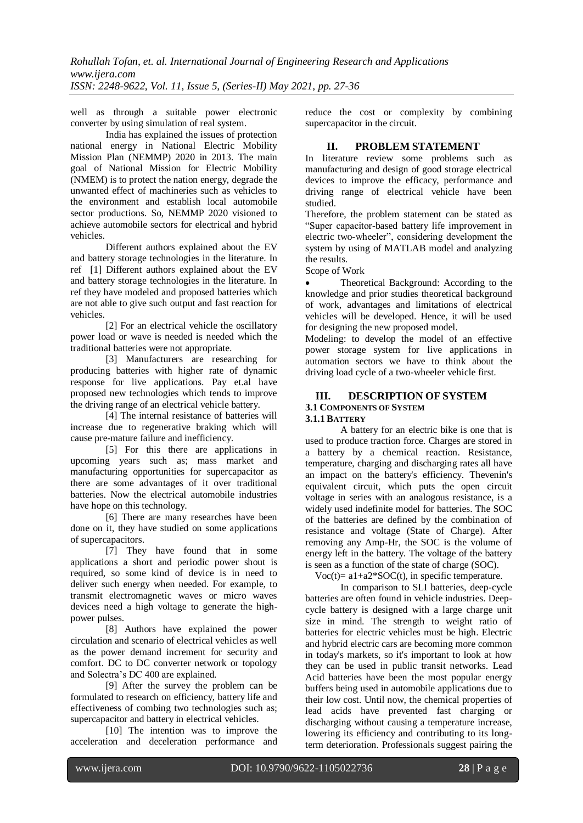well as through a suitable power electronic converter by using simulation of real system.

India has explained the issues of protection national energy in National Electric Mobility Mission Plan (NEMMP) 2020 in 2013. The main goal of National Mission for Electric Mobility (NMEM) is to protect the nation energy, degrade the unwanted effect of machineries such as vehicles to the environment and establish local automobile sector productions. So, NEMMP 2020 visioned to achieve automobile sectors for electrical and hybrid vehicles.

Different authors explained about the EV and battery storage technologies in the literature. In ref [1] Different authors explained about the EV and battery storage technologies in the literature. In ref they have modeled and proposed batteries which are not able to give such output and fast reaction for vehicles.

[2] For an electrical vehicle the oscillatory power load or wave is needed is needed which the traditional batteries were not appropriate.

[3] Manufacturers are researching for producing batteries with higher rate of dynamic response for live applications. Pay et.al have proposed new technologies which tends to improve the driving range of an electrical vehicle battery.

[4] The internal resistance of batteries will increase due to regenerative braking which will cause pre-mature failure and inefficiency.

[5] For this there are applications in upcoming years such as; mass market and manufacturing opportunities for supercapacitor as there are some advantages of it over traditional batteries. Now the electrical automobile industries have hope on this technology.

[6] There are many researches have been done on it, they have studied on some applications of supercapacitors.

[7] They have found that in some applications a short and periodic power shout is required, so some kind of device is in need to deliver such energy when needed. For example, to transmit electromagnetic waves or micro waves devices need a high voltage to generate the highpower pulses.

[8] Authors have explained the power circulation and scenario of electrical vehicles as well as the power demand increment for security and comfort. DC to DC converter network or topology and Solectra's DC 400 are explained.

[9] After the survey the problem can be formulated to research on efficiency, battery life and effectiveness of combing two technologies such as; supercapacitor and battery in electrical vehicles.

[10] The intention was to improve the acceleration and deceleration performance and reduce the cost or complexity by combining supercapacitor in the circuit.

## **II. PROBLEM STATEMENT**

In literature review some problems such as manufacturing and design of good storage electrical devices to improve the efficacy, performance and driving range of electrical vehicle have been studied.

Therefore, the problem statement can be stated as "Super capacitor-based battery life improvement in electric two-wheeler", considering development the system by using of MATLAB model and analyzing the results.

Scope of Work

 Theoretical Background: According to the knowledge and prior studies theoretical background of work, advantages and limitations of electrical vehicles will be developed. Hence, it will be used for designing the new proposed model.

Modeling: to develop the model of an effective power storage system for live applications in automation sectors we have to think about the driving load cycle of a two-wheeler vehicle first.

#### **III. DESCRIPTION OF SYSTEM 3.1 COMPONENTS OF SYSTEM 3.1.1 BATTERY**

A battery for an electric bike is one that is used to produce traction force. Charges are stored in a battery by a chemical reaction. Resistance, temperature, charging and discharging rates all have an impact on the battery's efficiency. Thevenin's equivalent circuit, which puts the open circuit voltage in series with an analogous resistance, is a widely used indefinite model for batteries. The SOC of the batteries are defined by the combination of resistance and voltage (State of Charge). After removing any Amp-Hr, the SOC is the volume of energy left in the battery. The voltage of the battery is seen as a function of the state of charge (SOC).

Voc(t)=  $a1+a2*SOC(t)$ , in specific temperature.

In comparison to SLI batteries, deep-cycle batteries are often found in vehicle industries. Deepcycle battery is designed with a large charge unit size in mind. The strength to weight ratio of batteries for electric vehicles must be high. Electric and hybrid electric cars are becoming more common in today's markets, so it's important to look at how they can be used in public transit networks. Lead Acid batteries have been the most popular energy buffers being used in automobile applications due to their low cost. Until now, the chemical properties of lead acids have prevented fast charging or discharging without causing a temperature increase, lowering its efficiency and contributing to its longterm deterioration. Professionals suggest pairing the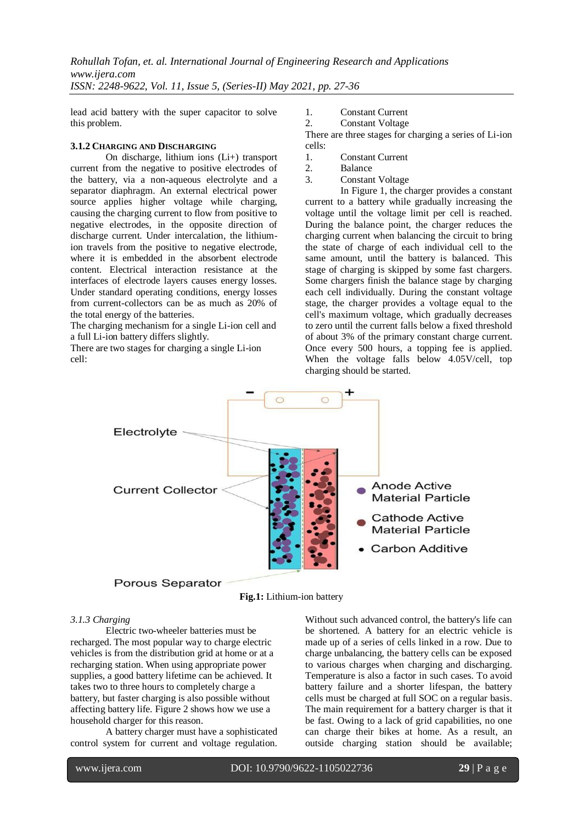lead acid battery with the super capacitor to solve this problem.

#### **3.1.2 CHARGING AND DISCHARGING**

On discharge, lithium ions (Li+) transport current from the negative to positive electrodes of the battery, via a non-aqueous electrolyte and a separator diaphragm. An external electrical power source applies higher voltage while charging, causing the charging current to flow from positive to negative electrodes, in the opposite direction of discharge current. Under intercalation, the lithiumion travels from the positive to negative electrode, where it is embedded in the absorbent electrode content. Electrical interaction resistance at the interfaces of electrode layers causes energy losses. Under standard operating conditions, energy losses from current-collectors can be as much as 20% of the total energy of the batteries.

The charging mechanism for a single Li-ion cell and a full Li-ion battery differs slightly.

There are two stages for charging a single Li-ion cell:

- 1. Constant Current
- 2. Constant Voltage

There are three stages for charging a series of Li-ion cells:

- 1. Constant Current
- 2. Balance<br>3. Constan
- Constant Voltage

In Figure 1, the charger provides a constant current to a battery while gradually increasing the voltage until the voltage limit per cell is reached. During the balance point, the charger reduces the charging current when balancing the circuit to bring the state of charge of each individual cell to the same amount, until the battery is balanced. This stage of charging is skipped by some fast chargers. Some chargers finish the balance stage by charging each cell individually. During the constant voltage stage, the charger provides a voltage equal to the cell's maximum voltage, which gradually decreases to zero until the current falls below a fixed threshold of about 3% of the primary constant charge current. Once every 500 hours, a topping fee is applied. When the voltage falls below 4.05V/cell, top charging should be started.



**Fig.1:** Lithium-ion battery

#### *3.1.3 Charging*

Electric two-wheeler batteries must be recharged. The most popular way to charge electric vehicles is from the distribution grid at home or at a recharging station. When using appropriate power supplies, a good battery lifetime can be achieved. It takes two to three hours to completely charge a battery, but faster charging is also possible without affecting battery life. Figure 2 shows how we use a household charger for this reason.

A battery charger must have a sophisticated control system for current and voltage regulation.

Without such advanced control, the battery's life can be shortened. A battery for an electric vehicle is made up of a series of cells linked in a row. Due to charge unbalancing, the battery cells can be exposed to various charges when charging and discharging. Temperature is also a factor in such cases. To avoid battery failure and a shorter lifespan, the battery cells must be charged at full SOC on a regular basis. The main requirement for a battery charger is that it be fast. Owing to a lack of grid capabilities, no one can charge their bikes at home. As a result, an outside charging station should be available;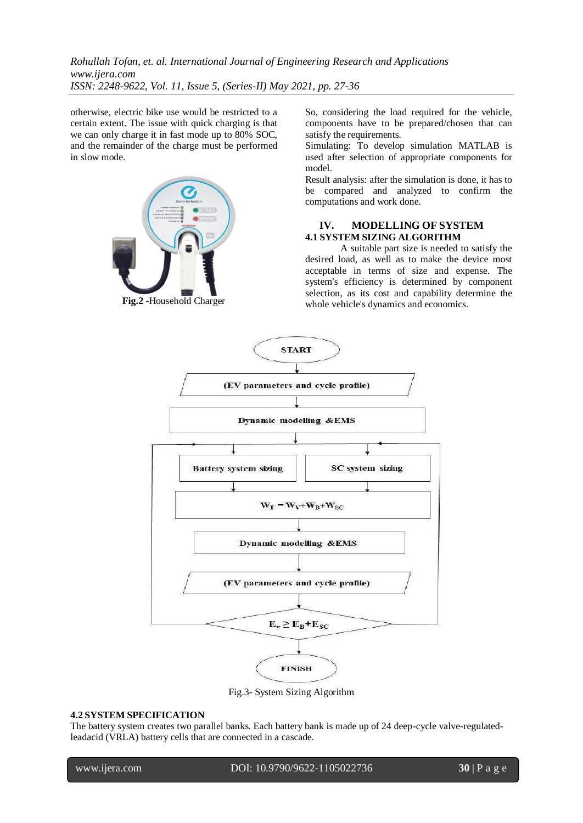otherwise, electric bike use would be restricted to a certain extent. The issue with quick charging is that we can only charge it in fast mode up to 80% SOC, and the remainder of the charge must be performed in slow mode.



**Fig.2** -Household Charger

So, considering the load required for the vehicle, components have to be prepared/chosen that can satisfy the requirements.

Simulating: To develop simulation MATLAB is used after selection of appropriate components for model.

Result analysis: after the simulation is done, it has to be compared and analyzed to confirm the computations and work done.

#### **IV. MODELLING OF SYSTEM 4.1 SYSTEM SIZING ALGORITHM**

A suitable part size is needed to satisfy the desired load, as well as to make the device most acceptable in terms of size and expense. The system's efficiency is determined by component selection, as its cost and capability determine the whole vehicle's dynamics and economics.



Fig.3- System Sizing Algorithm

#### **4.2 SYSTEM SPECIFICATION**

The battery system creates two parallel banks. Each battery bank is made up of 24 deep-cycle valve-regulatedleadacid (VRLA) battery cells that are connected in a cascade.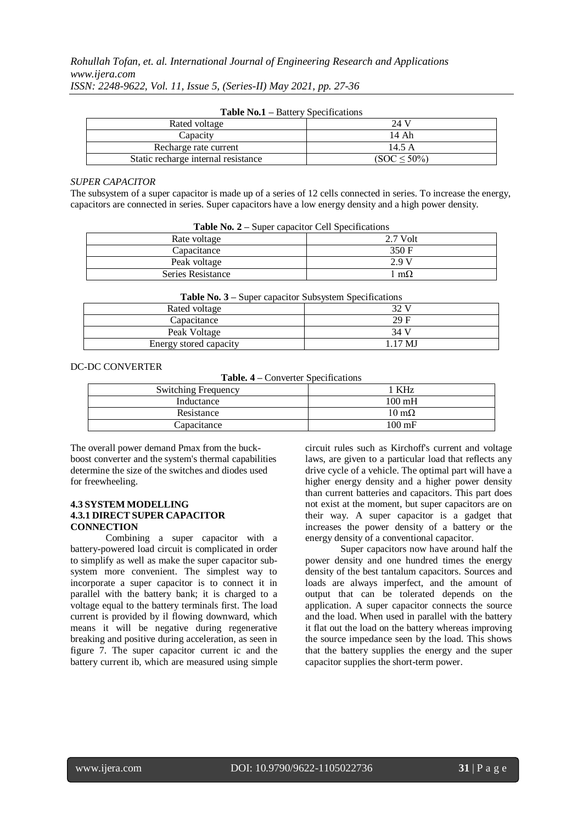| $ \cdots$ $ \cdots$ $  \cdots$ $\cdots$ $\cdots$ $\cdots$ $\cdots$ $\cdots$ |                   |  |  |  |  |
|-----------------------------------------------------------------------------|-------------------|--|--|--|--|
| Rated voltage                                                               | 24 V              |  |  |  |  |
| Capacity                                                                    | 14 Ah             |  |  |  |  |
| Recharge rate current                                                       | 14.5 A            |  |  |  |  |
| Static recharge internal resistance                                         | $(SOC \leq 50\%)$ |  |  |  |  |

**Table No.1 –** Battery Specifications

#### *SUPER CAPACITOR*

The subsystem of a super capacitor is made up of a series of 12 cells connected in series. To increase the energy, capacitors are connected in series. Super capacitors have a low energy density and a high power density.

| <b>Table Fo.</b> $2 - 3$ uper capacitor Cell Specifications |            |  |  |  |
|-------------------------------------------------------------|------------|--|--|--|
| Rate voltage                                                | $2.7$ Volt |  |  |  |
| Capacitance                                                 | 350 F      |  |  |  |
| Peak voltage                                                | 29 V       |  |  |  |
| Series Resistance                                           | $m\Omega$  |  |  |  |
|                                                             |            |  |  |  |

**Table No. 2 –** Super capacitor Cell Specifications

|  |  |  |  |  | <b>Table No. 3 – Super capacitor Subsystem Specifications</b> |
|--|--|--|--|--|---------------------------------------------------------------|
|--|--|--|--|--|---------------------------------------------------------------|

| Rated voltage          | 32 V    |
|------------------------|---------|
| Capacitance            | 29F     |
| Peak Voltage           | 34 V    |
| Energy stored capacity | 1.17 MJ |

DC-DC CONVERTER

**Table. 4 –** Converter Specifications

| <b>Switching Frequency</b> | KHz                  |
|----------------------------|----------------------|
| Inductance                 | $100 \text{ mH}$     |
| Resistance                 | $10 \text{ m}\Omega$ |
| Capacitance                | $100 \text{ mF}$     |

The overall power demand Pmax from the buckboost converter and the system's thermal capabilities determine the size of the switches and diodes used for freewheeling.

#### **4.3 SYSTEM MODELLING 4.3.1 DIRECT SUPER CAPACITOR CONNECTION**

Combining a super capacitor with a battery-powered load circuit is complicated in order to simplify as well as make the super capacitor subsystem more convenient. The simplest way to incorporate a super capacitor is to connect it in parallel with the battery bank; it is charged to a voltage equal to the battery terminals first. The load current is provided by il flowing downward, which means it will be negative during regenerative breaking and positive during acceleration, as seen in figure 7. The super capacitor current ic and the battery current ib, which are measured using simple circuit rules such as Kirchoff's current and voltage laws, are given to a particular load that reflects any drive cycle of a vehicle. The optimal part will have a higher energy density and a higher power density than current batteries and capacitors. This part does not exist at the moment, but super capacitors are on their way. A super capacitor is a gadget that increases the power density of a battery or the energy density of a conventional capacitor.

Super capacitors now have around half the power density and one hundred times the energy density of the best tantalum capacitors. Sources and loads are always imperfect, and the amount of output that can be tolerated depends on the application. A super capacitor connects the source and the load. When used in parallel with the battery it flat out the load on the battery whereas improving the source impedance seen by the load. This shows that the battery supplies the energy and the super capacitor supplies the short-term power.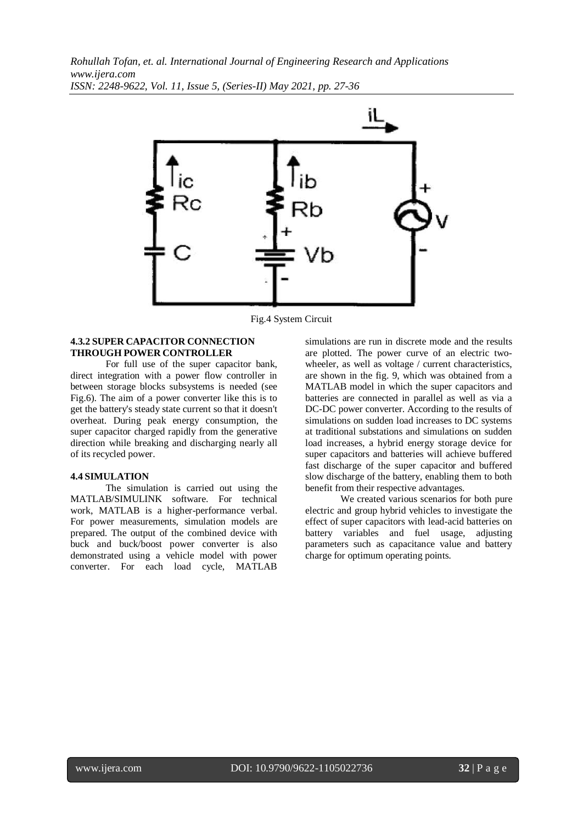

Fig.4 System Circuit

#### **4.3.2 SUPER CAPACITOR CONNECTION THROUGH POWER CONTROLLER**

For full use of the super capacitor bank, direct integration with a power flow controller in between storage blocks subsystems is needed (see Fig.6). The aim of a power converter like this is to get the battery's steady state current so that it doesn't overheat. During peak energy consumption, the super capacitor charged rapidly from the generative direction while breaking and discharging nearly all of its recycled power.

#### **4.4 SIMULATION**

The simulation is carried out using the MATLAB/SIMULINK software. For technical work, MATLAB is a higher-performance verbal. For power measurements, simulation models are prepared. The output of the combined device with buck and buck/boost power converter is also demonstrated using a vehicle model with power converter. For each load cycle, MATLAB simulations are run in discrete mode and the results are plotted. The power curve of an electric twowheeler, as well as voltage / current characteristics, are shown in the fig. 9, which was obtained from a MATLAB model in which the super capacitors and batteries are connected in parallel as well as via a DC-DC power converter. According to the results of simulations on sudden load increases to DC systems at traditional substations and simulations on sudden load increases, a hybrid energy storage device for super capacitors and batteries will achieve buffered fast discharge of the super capacitor and buffered slow discharge of the battery, enabling them to both benefit from their respective advantages.

We created various scenarios for both pure electric and group hybrid vehicles to investigate the effect of super capacitors with lead-acid batteries on battery variables and fuel usage, adjusting parameters such as capacitance value and battery charge for optimum operating points.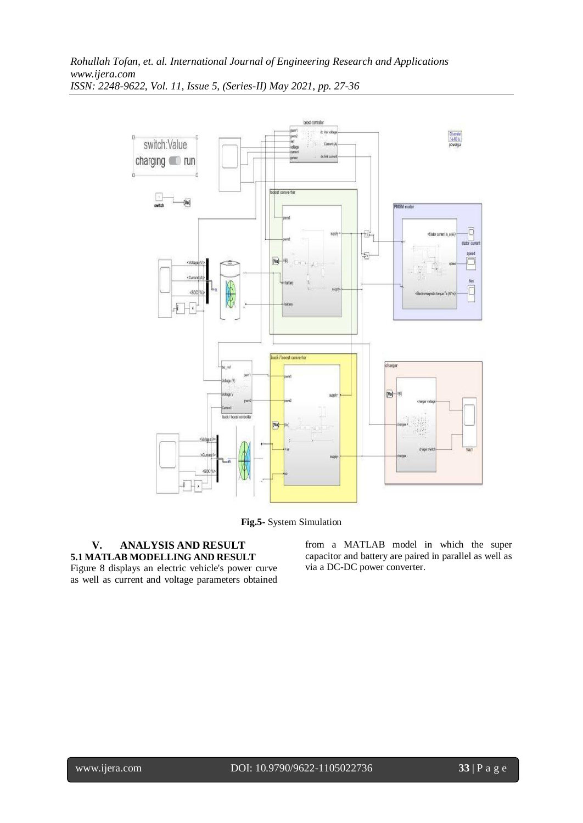

**Fig.5-** System Simulation

## **V. ANALYSIS AND RESULT 5.1 MATLAB MODELLING AND RESULT**

Figure 8 displays an electric vehicle's power curve as well as current and voltage parameters obtained from a MATLAB model in which the super capacitor and battery are paired in parallel as well as via a DC-DC power converter.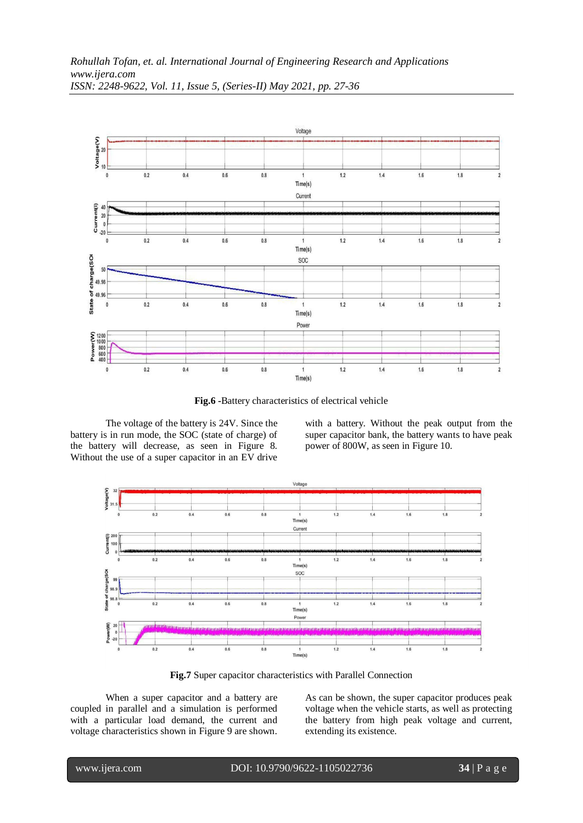

*ISSN: 2248-9622, Vol. 11, Issue 5, (Series-II) May 2021, pp. 27-36*

**Fig.6 -**Battery characteristics of electrical vehicle

The voltage of the battery is 24V. Since the battery is in run mode, the SOC (state of charge) of the battery will decrease, as seen in Figure 8. Without the use of a super capacitor in an EV drive

with a battery. Without the peak output from the super capacitor bank, the battery wants to have peak power of 800W, as seen in Figure 10.



**Fig.7** Super capacitor characteristics with Parallel Connection

When a super capacitor and a battery are coupled in parallel and a simulation is performed with a particular load demand, the current and voltage characteristics shown in Figure 9 are shown. As can be shown, the super capacitor produces peak voltage when the vehicle starts, as well as protecting the battery from high peak voltage and current, extending its existence.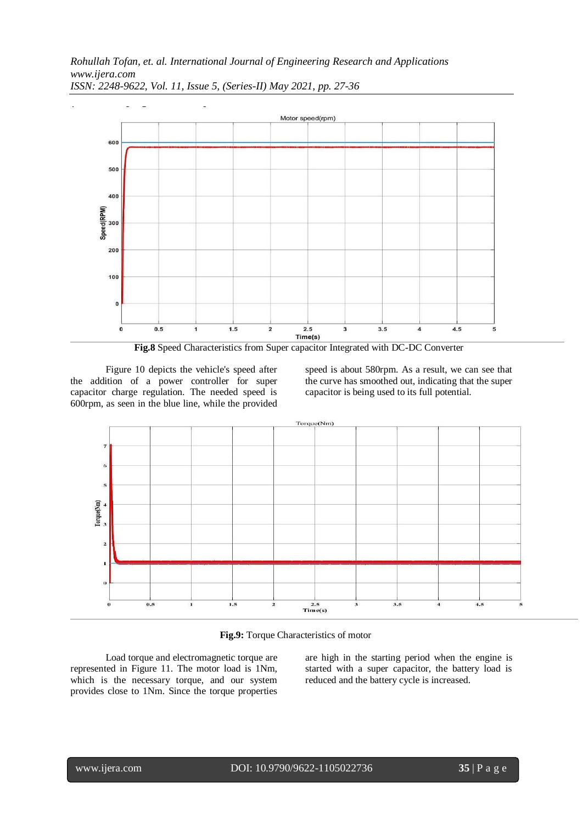



Figure 10 depicts the vehicle's speed after the addition of a power controller for super capacitor charge regulation. The needed speed is 600rpm, as seen in the blue line, while the provided speed is about 580rpm. As a result, we can see that the curve has smoothed out, indicating that the super capacitor is being used to its full potential.



**Fig.9:** Torque Characteristics of motor

Load torque and electromagnetic torque are represented in Figure 11. The motor load is 1Nm, which is the necessary torque, and our system provides close to 1Nm. Since the torque properties

are high in the starting period when the engine is started with a super capacitor, the battery load is reduced and the battery cycle is increased.